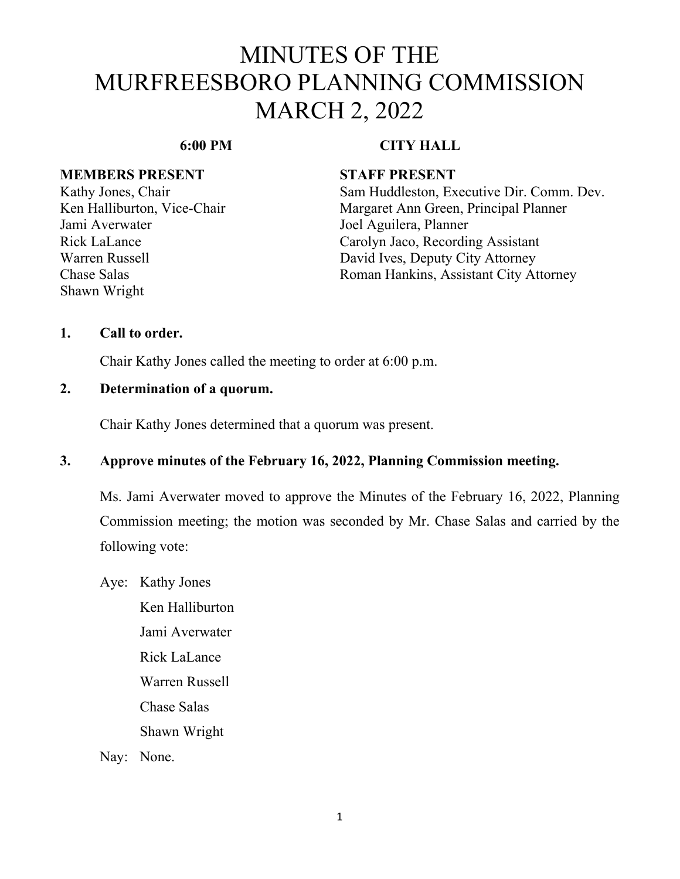## **6:00 PM CITY HALL**

### **MEMBERS PRESENT STAFF PRESENT**

Jami Averwater **Joel Aguilera**, Planner Shawn Wright

Kathy Jones, Chair Sam Huddleston, Executive Dir. Comm. Dev. Ken Halliburton, Vice-Chair Margaret Ann Green, Principal Planner Rick LaLance Carolyn Jaco, Recording Assistant Warren Russell David Ives, Deputy City Attorney Chase Salas Roman Hankins, Assistant City Attorney

### **1. Call to order.**

Chair Kathy Jones called the meeting to order at 6:00 p.m.

### **2. Determination of a quorum.**

Chair Kathy Jones determined that a quorum was present.

### **3. Approve minutes of the February 16, 2022, Planning Commission meeting.**

Ms. Jami Averwater moved to approve the Minutes of the February 16, 2022, Planning Commission meeting; the motion was seconded by Mr. Chase Salas and carried by the following vote:

Aye: Kathy Jones

Ken Halliburton Jami Averwater Rick LaLance Warren Russell Chase Salas Shawn Wright

Nay: None.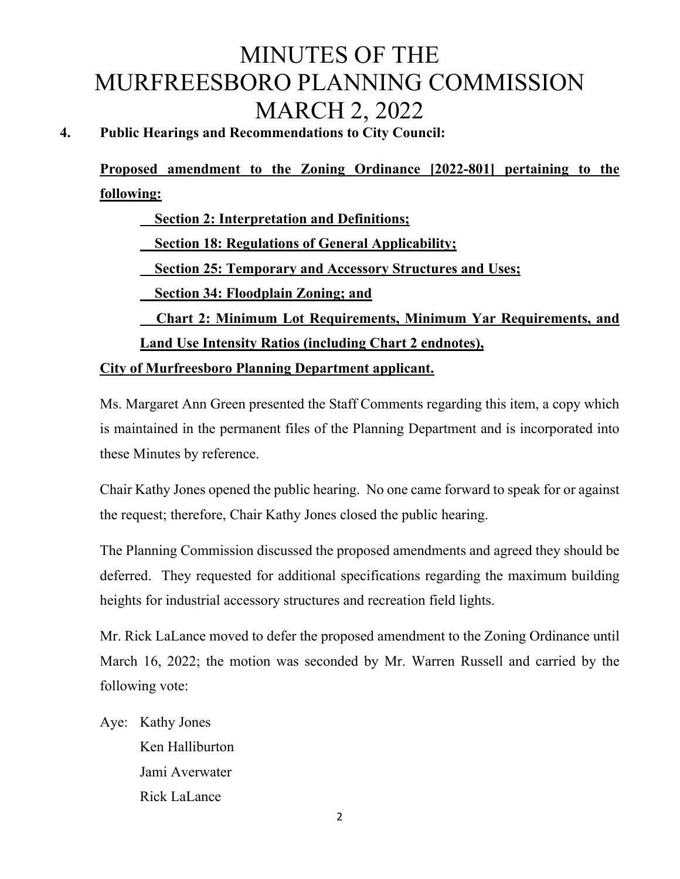# **4. Public Hearings and Recommendations to City Council:**

**Proposed amendment to the Zoning Ordinance [2022-801] pertaining to the following:** 

 **Section 2: Interpretation and Definitions; Section 18: Regulations of General Applicability; Section 25: Temporary and Accessory Structures and Uses; Section 34: Floodplain Zoning; and Chart 2: Minimum Lot Requirements, Minimum Yar Requirements, and Land Use Intensity Ratios (including Chart 2 endnotes),** 

**City of Murfreesboro Planning Department applicant.** 

Ms. Margaret Ann Green presented the Staff Comments regarding this item, a copy which is maintained in the permanent files of the Planning Department and is incorporated into these Minutes by reference.

Chair Kathy Jones opened the public hearing. No one came forward to speak for or against the request; therefore, Chair Kathy Jones closed the public hearing.

The Planning Commission discussed the proposed amendments and agreed they should be deferred. They requested for additional specifications regarding the maximum building heights for industrial accessory structures and recreation field lights.

Mr. Rick LaLance moved to defer the proposed amendment to the Zoning Ordinance until March 16, 2022; the motion was seconded by Mr. Warren Russell and carried by the following vote:

Aye: Kathy Jones

Ken Halliburton Jami Averwater Rick LaLance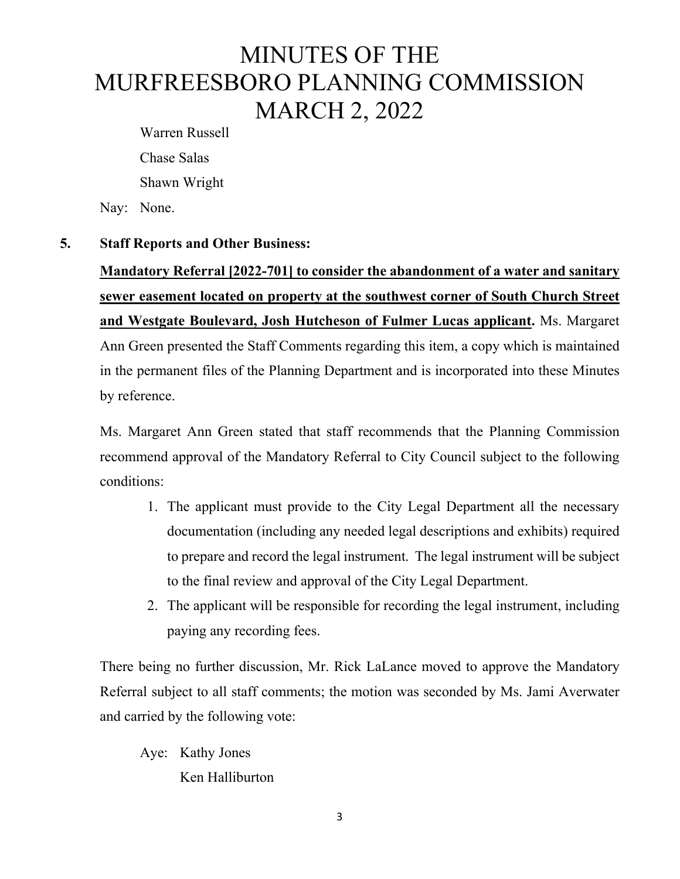Warren Russell Chase Salas Shawn Wright

Nay: None.

### **5. Staff Reports and Other Business:**

**Mandatory Referral [2022-701] to consider the abandonment of a water and sanitary sewer easement located on property at the southwest corner of South Church Street and Westgate Boulevard, Josh Hutcheson of Fulmer Lucas applicant.** Ms. Margaret Ann Green presented the Staff Comments regarding this item, a copy which is maintained in the permanent files of the Planning Department and is incorporated into these Minutes by reference.

Ms. Margaret Ann Green stated that staff recommends that the Planning Commission recommend approval of the Mandatory Referral to City Council subject to the following conditions:

- 1. The applicant must provide to the City Legal Department all the necessary documentation (including any needed legal descriptions and exhibits) required to prepare and record the legal instrument. The legal instrument will be subject to the final review and approval of the City Legal Department.
- 2. The applicant will be responsible for recording the legal instrument, including paying any recording fees.

There being no further discussion, Mr. Rick LaLance moved to approve the Mandatory Referral subject to all staff comments; the motion was seconded by Ms. Jami Averwater and carried by the following vote:

Aye: Kathy Jones Ken Halliburton